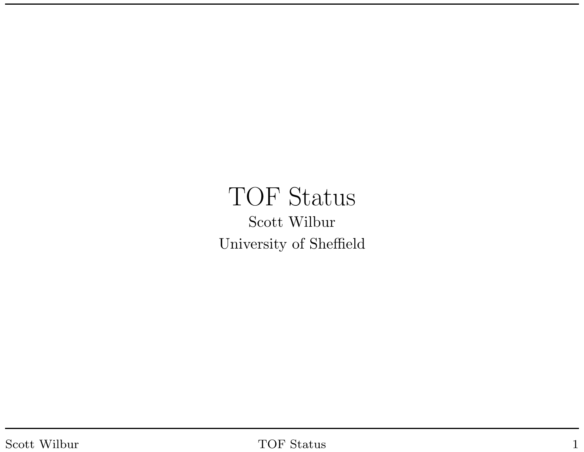### TOF Status Scott Wilbur University of Sheffield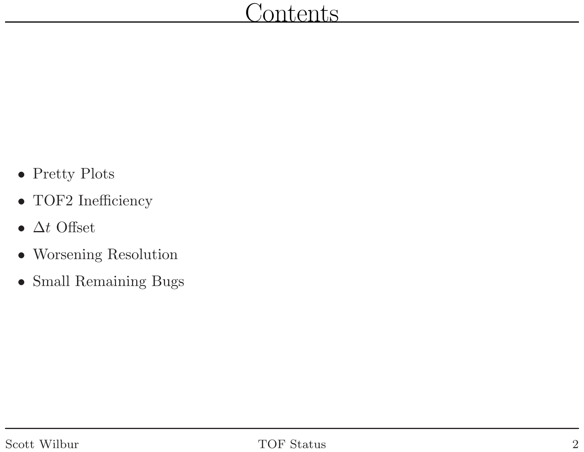- Pretty Plots
- TOF2 Inefficiency
- $\Delta t$  Offset
- Worsening Resolution
- Small Remaining Bugs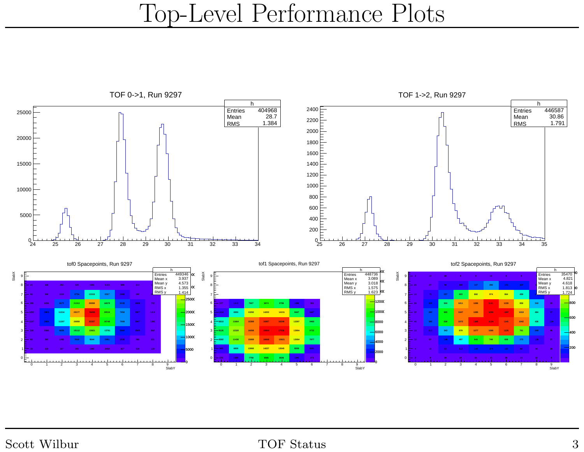# Top-Level Performance Plots

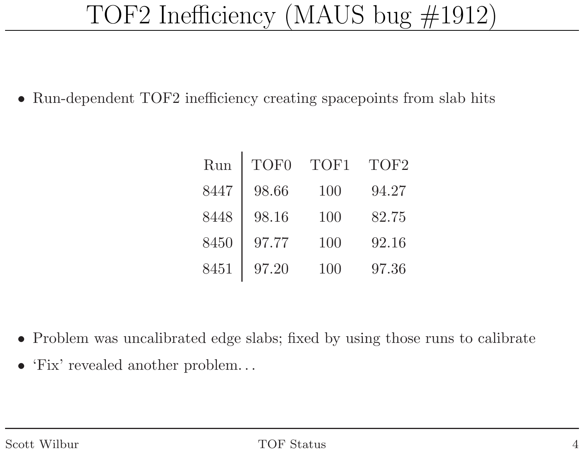# TOF2 Inefficiency (MAUS bug #1912)

 $\bullet$ Run-dependent TOF2 inefficiency creating spacepoints from slab hits

| Run  | TOF <sub>0</sub> | TOF1 | TOF <sub>2</sub> |
|------|------------------|------|------------------|
| 8447 | 98.66            | 100  | 94.27            |
| 8448 | 98.16            | 100  | 82.75            |
| 8450 | 97.77            | 100  | 92.16            |
| 8451 | 97.20            | 100  | 97.36            |

- $\bullet$ Problem was uncalibrated edge slabs; fixed by using those runs to calibrate
- 'Fix' revealed another problem...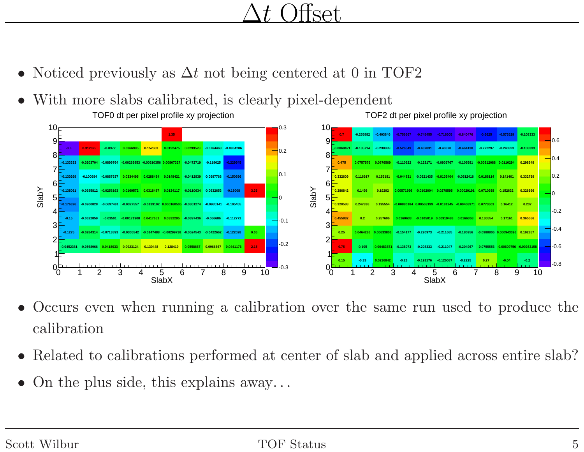#### $\Delta t$  $\mathsf{c}\mathsf{a}\mathsf{f}$

- •Noticed previously as  $\Delta t$  not being centered at 0 in TOF2
- $\bullet$ With more slabs calibrated, is clearly <sup>p</sup>ixel-dependent



- • Occurs even when running <sup>a</sup> calibration over the same run used to produce the calibration
- •Related to calibrations performed at center of slab and applied across entire slab?
- $\bullet$ On the <sup>p</sup>lus side, this explains away. . .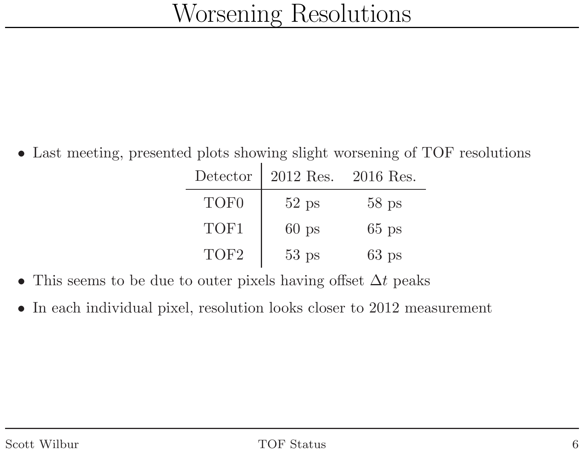• Last meeting, presented <sup>p</sup>lots showing slight worsening of TOF resolutions

Detector <sup>2012</sup> Res. <sup>2016</sup> Res. TOF0 <sup>52</sup> ps <sup>58</sup> ps TOF1 <sup>60</sup> ps <sup>65</sup> ps TOF2<sup>53</sup> ps <sup>63</sup> ps

- $\bullet$ • This seems to be due to outer pixels having offset  $\Delta t$  peaks
- $\bullet$ In each individual <sup>p</sup>ixel, resolution looks closer to <sup>2012</sup> measurement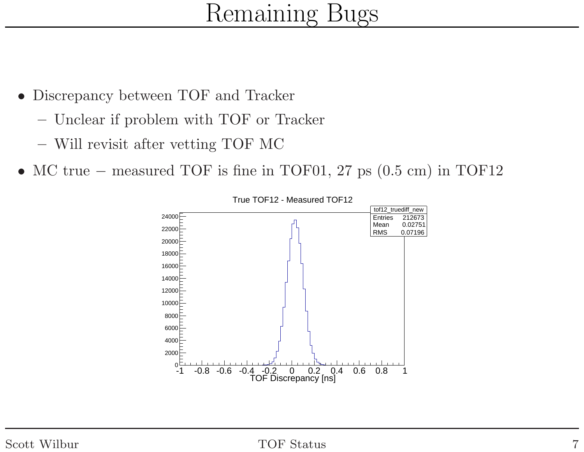# Remaining Bugs

- $\bullet$  Discrepancy between TOF and Tracker
	- Unclear if problem with TOF or Tracker
	- Will revisit after vetting TOF MC
- MC true <sup>−</sup> measured TOF is fine in TOF01, <sup>27</sup> ps (0.5 cm) in TOF12



True TOF12 - Measured TOF12